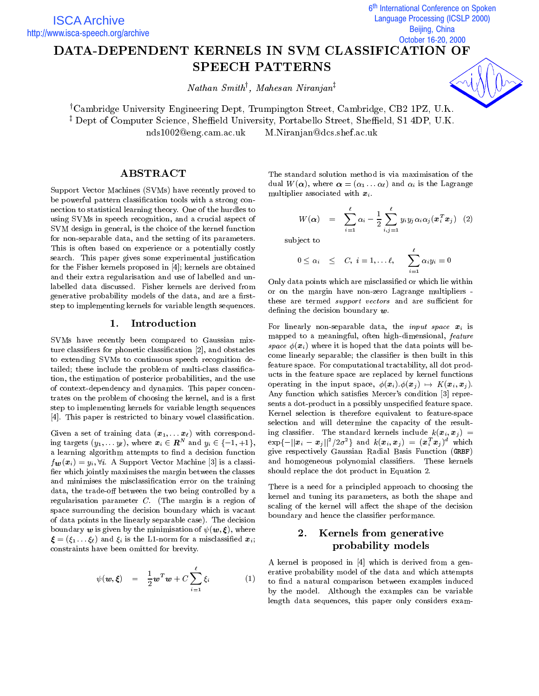6<sup>th</sup> International Conference on Spoken j **Language Processing (ICSLP 2000)** Beijing, China October 16-20, 2000

# DATA-DEPENDENT KERNELS IN SVM CLASSIFICATION OF SPEECH PATTERNS

Nathan Smith<sup>y</sup> , Mahesan Niranjan<sup>z</sup>

<sup>†</sup>Cambridge University Engineering Dept, Trumpington Street, Cambridge, CB2 1PZ, U.K. z Dept of Computer Science, Shemeld University, Portabello Street, Shemeld, S1 4DP, U.K. nds1002@eng.cam.ac.ukM.Niranjan@dcs.shef.ac.uk

ABSTRACT

Support Vector Machines (SVMs) have recently proved to be powerful pattern classification tools with a strong connection to statistical learning theory. One of the hurdles to using SVMs in speech recognition, and a crucial aspect of SVM design in general, is the choice of the kernel function for non-separable data, and the setting of its parameters. This is often based on experience or a potentially costly search. This paper gives some experimental justification for the Fisher kernels proposed in [4]; kernels are obtained and their extra regularisation and use of labelled and unlabelled data discussed. Fisher kernels are derived from generative probability models of the data, and are a firststep to implementing kernels for variable length sequences.

# 1. Introduction

SVMs have recently been compared to Gaussian mixture classiers for phonetic classication [2], and obstacles to extending SVMs to continuous speech recognition detailed; these include the problem of multi-class classication, the estimation of posterior probabilities, and the use of context-dependency and dynamics. This paper concentrates on the problem of choosing the kernel, and is a first step to implementing kernels for variable length sequences [4]. This paper is restricted to binary vowel classification.

Given a set of training data  $(\boldsymbol{x}_1,\ldots,\boldsymbol{x}_\ell)$  with corresponding targets  $(y_1,\ldots,y_\ell),$  where  $\boldsymbol{x}_i\in \boldsymbol{R}^n$  and  $y_i\in \{-1,+1\},\$ a learning algorithm attempts to find a decision function  $f_{\mathbf{w}}(\mathbf{x}_i) = y_i, \forall i$ . A Support Vector Machine [3] is a classifier which jointly maximises the margin between the classes and minimises the misclassication error on the training data, the trade-off between the two being controlled by a regularisation parameter C. (The margin is a region of space surrounding the decision boundary which is vacant of data points in the linearly separable case). The decision boundary  $w$  is given by the minimisation of  $\psi(w, \xi)$ , where  $\boldsymbol{\xi} = (\xi_1 \dots \xi_\ell)$  and  $\xi_i$  is the L1-norm for a misclassified  $\boldsymbol{x}_i$ ; constraints have been omitted for brevity.

$$
\psi(\boldsymbol{w}, \boldsymbol{\xi}) = \frac{1}{2} \boldsymbol{w}^T \boldsymbol{w} + C \sum_{i=1}^{\ell} \xi_i
$$
 (1)  $\begin{array}{c} \text{era} \\ \text{to} \\ \text{bv} \end{array}$ 

The standard solution method is via maximisation of the dual  $W(\boldsymbol{\alpha})$ , where  $\boldsymbol{\alpha} = (\alpha_1 \dots \alpha_{\ell})$  and  $\alpha_i$  is the Lagrange multiplier associated with  $x_i$ .

$$
W(\boldsymbol{\alpha}) = \sum_{i=1}^{\ell} \alpha_i - \frac{1}{2} \sum_{i,j=1}^{\ell} y_i y_j \alpha_i \alpha_j (\boldsymbol{x}_i^T \boldsymbol{x}_j) \quad (2)
$$

subject to

$$
0\leq \alpha_i \quad \leq \quad C, \,\, i=1,\ldots \ell, \qquad \sum_{i=1}^\ell \alpha_i y_i = 0
$$

Only data points which are misclassied or which lie within or on the margin have non-zero Lagrange multipliers these are termed *support vectors* and are sufficient for defining the decision boundary  $w$ .

For linearly non-separable data, the input space xi is mapped to a meaningful, often high-dimensional, feature space  $\phi(\mathbf{x}_i)$  where it is hoped that the data points will become linearly separable; the classifier is then built in this feature space. For computational tractability, all dot products in the feature space are replaced by kernel functions operating in the input space, (xi):(xj ) 7! K(xi ; xj ). Any function which satisfies Mercer's condition [3] represents a dot-product in a possibly unspecified feature space. Kernel selection is therefore equivalent to feature-space selection and will determine the capacity of the resulting classical control classical control include the standard  $\alpha$  ;  $\alpha$  ;  $\alpha$  ,  $\alpha$  $\exp\{-||x_i - x_j||^2/2\sigma\}$  and  $\kappa(x_i, x_j) = (x_i^T x_j)^2$  which give respectively Gaussian Radial Basis Function (GRBF) and homogeneous polynomial classiers. These kernels should replace the dot product in Equation 2.

There is a need for a principled approach to choosing the kernel and tuning its parameters, as both the shape and scaling of the kernel will affect the shape of the decision boundary and hence the classier performance.

### Kernels from generative 2. probability models

A kernel is proposed in [4] which is derived from a generative probability model of the data and which attempts to find a natural comparison between examples induced by the model. Although the examples can be variable length data sequences, this paper only considers exam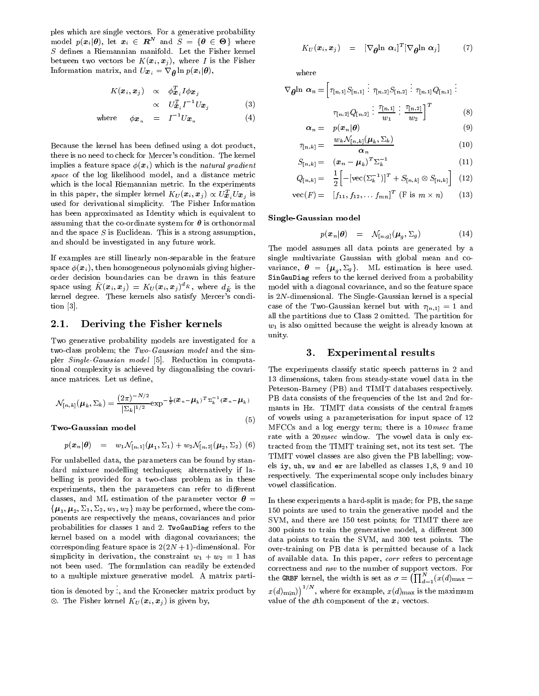ples which are single vectors. For a generative probability model  $p(x_i | \theta)$ , let  $x_i \in \mathbb{R}^n$  and  $S = \{\theta \in \Theta\}$  where  $S$  defines a Riemannian manifold. Let the Fisher kernel between two vectors be  $K(\boldsymbol{x}_i, \boldsymbol{x}_j)$ , where I is the Fisher Information matrix, and  $U\boldsymbol{x}_i = \nabla_{\boldsymbol{\theta}} \ln p(\boldsymbol{x}_i | \boldsymbol{\theta}),$ 

$$
K(\boldsymbol{x}_i, \boldsymbol{x}_j) \propto \phi_{\boldsymbol{x}_i}^T I \phi_{\boldsymbol{x}_j}
$$
  
 
$$
\propto U_{\boldsymbol{x}_i}^T I^{-1} U_{\boldsymbol{x}_j}
$$
 (3)

where 
$$
\phi \mathbf{x}_n = I^{-1} U \mathbf{x}_n
$$
 (4)

Because the kernel has been defined using a dot product, there is no need to check for Mercer's condition. The kernel implies a feature space  $\phi(\boldsymbol{x}_i)$  which is the natural gradient space of the log likelihood model, and a distance metric which is the local Riemannian metric. In the experiments in this paper, the simpler kernel  $K_U(\boldsymbol{x}_i, \boldsymbol{x}_j) \propto U_{\boldsymbol{x}}^T U_{\boldsymbol{x}_j}$  is used for derivational simplicity. The Fisher Information has been approximated as Identity which is equivalent to assuming that the co-ordinate system for  $\theta$  is orthonormal and the space  $S$  is Euclidean. This is a strong assumption, and should be investigated in any future work.

If examples are still linearly non-separable in the feature space  $\phi(\boldsymbol{x}_i)$ , then homogeneous polynomials giving higherorder decision boundaries can be drawn in this feature space using  $K(\boldsymbol{x}_i, \boldsymbol{x}_j) = K_U (\boldsymbol{x}_i, \boldsymbol{x}_j)^{\top_K},$  where  $d_{\tilde{K}}$  is the mod kernel degree. These kernels also satisfy Mercer's condition [3].

# 2.1. Deriving the Fisher kernels

Two generative probability models are investigated for a two-class problem; the Two-Gaussian model and the simpler Single-Gaussian model [5]. Reduction in computational complexity is achieved by diagonalising the covariance matrices. Let us define,

$$
\mathcal{N}_{[n,k]}(\boldsymbol{\mu}_k, \Sigma_k) = \frac{(2\pi)^{-N/2}}{|\Sigma_k|^{1/2}} \exp^{-\frac{1}{2}(\boldsymbol{x}_n - \boldsymbol{\mu}_k)^T \Sigma_k^{-1}(\boldsymbol{x}_n - \boldsymbol{\mu}_k)} \qquad \qquad \frac{1}{1}
$$

Two-Gaussian model

$$
p(\boldsymbol{x}_n|\boldsymbol{\theta}) = w_1 \mathcal{N}_{[n,1]}(\boldsymbol{\mu}_1, \Sigma_1) + w_2 \mathcal{N}_{[n,2]}(\boldsymbol{\mu}_2, \Sigma_2) \tag{6} \quad \text{tra}
$$

(5)

For unlabelled data, the parameters can be found by standard mixture modelling techniques; alternatively if labelling is provided for a two-class problem as in these experiments, then the parameters can refer to different classes, and ML estimation of the parameter vector  $\theta =$  $\{\boldsymbol{\mu}_1, \boldsymbol{\mu}_2, \Sigma_1, \Sigma_2, w_1, w_2\}$  may be performed, where the components are respectively the means, covariances and prior probabilities for classes 1 and 2. TwoGauDiag refers to the kernel based on a model with diagonal covariances; the corresponding feature space is  $2(2N + 1)$ -dimensional. For simplicity in derivation, the constraint  $w_1 + w_2 = 1$  has not been used. The formulation can readily be extended to a multiple mixture generative model. A matrix parti-

tion is defined by the control of the control of the control of the control of the control of the control of th  $\therefore$ , and the Kronecker matrix product by  $x(d)_m$ . The Fisher kernel KU (xi ; xj ) is given by,

$$
K_U(\boldsymbol{x}_i, \boldsymbol{x}_j) = [\nabla_{\boldsymbol{\theta}} \ln \boldsymbol{\alpha}_i]^T [\nabla_{\boldsymbol{\theta}} \ln \boldsymbol{\alpha}_j] \qquad (7)
$$

where

$$
\nabla_{\theta} \ln \alpha_{n} = \left[ \tau_{[n,1]} S_{[n,1]} : \tau_{[n,2]} S_{[n,2]} : \tau_{[n,1]} Q_{[n,1]} : \right]
$$

$$
\tau_{[n,2]} Q_{[n,2]} : \frac{\tau_{[n,1]}}{w_{1}} : \frac{\tau_{[n,2]}}{w_{2}} \right]^{T}
$$
(8)

$$
\alpha_n = p(\boldsymbol{x}_n | \boldsymbol{\theta})
$$
\n
$$
\ldots = \frac{w_k \mathcal{N}_{[n,k]}(\boldsymbol{\mu}_k, \boldsymbol{\Sigma}_k)}{\cdots}
$$
\n(9)

$$
S_{[n,k]} = \begin{array}{c} \alpha_n \\ S_{[n,k]} = (x_n - \mu_k)^T \Sigma_k^{-1} \end{array} \tag{11}
$$

$$
Q_{[n,k]} = \frac{1}{2} \left[ -[\text{vec}(\Sigma_k^{-1})]^T + S_{[n,k]} \otimes S_{[n,k]} \right] \tag{12}
$$

$$
\text{vec}(F) = [f_{11}, f_{12}, \dots, f_{mn}]^T \text{ (F is } m \times n) \qquad (13)
$$

Single-Gaussian model

$$
p(\boldsymbol{x}_n|\boldsymbol{\theta}) = \mathcal{N}_{[n,g]}(\boldsymbol{\mu}_g, \Sigma_g) \tag{14}
$$

The model assumes all data points are generated by a single multivariate Gaussian with global mean and co variance, is a figure  $\mathbf{y} = \mathbf{y}$  , where  $\mathbf{y} = \mathbf{y}$  is a figure of  $\mathbf{y} = \mathbf{y}$ sing and the single term and derived from a probability of the single state  $\mathcal{S}$ model with a diagonal covariance, and so the feature space is 2N-dimensional. The Single-Gaussian kernel is a special case of the Two-Gaussian kernel but with  $\tau_{n,1} = 1$  and all the partitions due to Class 2 omitted. The partition for  $w_1$  is also omitted because the weight is already known at unity.

## 3. Experimental results

The experiments classify static speech patterns in 2 and 13 dimensions, taken from steady-state vowel data in the Peterson-Barney (PB) and TIMIT databases respectively. PB data consists of the frequencies of the 1st and 2nd for mants in Hz. TIMIT data consists of the central frames of vowels using a parameterisation for input space of 12 MFCCs and a log energy term; there is a 10msec frame rate with a 20*msec* window. The vowel data is only extracted from the TIMIT training set, not its test set. The TIMIT vowel classes are also given the PB labelling; vow els iy, uh, uw and er are labelled as classes 1,8, 9 and 10 respectively. The experimental scope only includes binary vowel classication.

In these experiments a hard-split is made; for PB, the same 150 points are used to train the generative model and the SVM, and there are 150 test points; for TIMIT there are 300 points to train the generative model, a different 300 data points to train the SVM, and 300 test points. The over-training on PB data is permitted because of a lack of available data. In this paper, corr refers to percentage correctness and nsv to the number of support vectors. For the GRBF kernel, the width is set as  $\sigma = \left(\prod_{d=1}^N (x(d)_{\max} (x(d)_{\text{min}}))^{1/N}$ , where for example,  $x(d)_{\text{max}}$  is the maximum value of the dth component of the  $x_i$  vectors.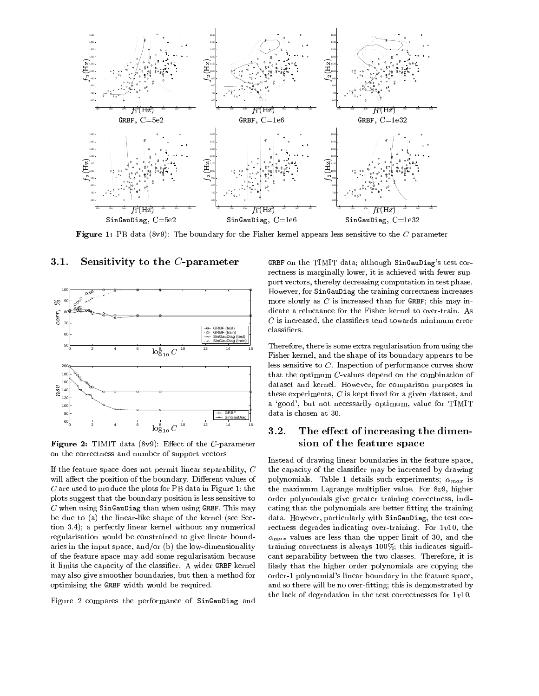

Figure 1: PB data (8v9): The boundary for the Fisher kernel appears less sensitive to the C-parameter



### 3.1. Sensitivity to the C-parameter

**Figure 2:** The Translation of the C-parameter  $\alpha$ on the correctness and number of support vectors

If the feature space does not permit linear separability, <sup>C</sup> will affect the position of the boundary. Different values of <sup>C</sup> are used to produce the plots for PB data in Figure 1; the plots suggest that the boundary position is less sensitive to  $C$  when using SinGauDiag than when using GRBF. This may be due to (a) the linear-like shape of the kernel (see Section 3.4); a perfectly linear kernel without any numerical regularisation would be constrained to give linear boundaries in the input space, and/or (b) the low-dimensionality of the feature space may add some regularisation because it limits the capacity of the classier. A wider GRBF kernel may also give smoother boundaries, but then a method for optimising the GRBF width would be required.

Figure 2 compares the performance of SinGauDiag and

GRBF on the TIMIT data; although SinGauDiag's test correctness is marginally lower, it is achieved with fewer support vectors, thereby decreasing computation in test phase. However, for SinGauDiag the training correctness increases more slowly as  $C$  is increased than for GRBF; this may indicate a reluctance for the Fisher kernel to over-train. As  $C$  is increased, the classifiers tend towards minimum error classifiers.

Therefore, there is some extra regularisation from using the Fisher kernel, and the shape of its boundary appears to be less sensitive to C. Inspection of performance curves show that the optimum C-values depend on the combination of dataset and kernel. However, for comparison purposes in these experiments,  $C$  is kept fixed for a given dataset, and a `good', but not necessarily optimum, value for TIMIT data is chosen at 30.

# 3.2. The effect of increasing the dimension of the feature space

Instead of drawing linear boundaries in the feature space, the capacity of the classier may be increased by drawing polynomials. Table 1 details such experiments; max is the maximum Lagrange multiplier value. For 8v9, higher order polynomials give greater training correctness, indicating that the polynomials are better fitting the training data. However, particularly with SinGauDiag, the test correctness degrades indicating over-training. For 1v10, the max values are less thanks that upper limit of 30, and the 30, and training correctness is always  $100\%$ ; this indicates significant separability between the two classes. Therefore, it is likely that the higher order polynomials are copying the order-1 polynomial's linear boundary in the feature space, and so there will be no over-fitting; this is demonstrated by the lack of degradation in the test correctnesses for 1v10.